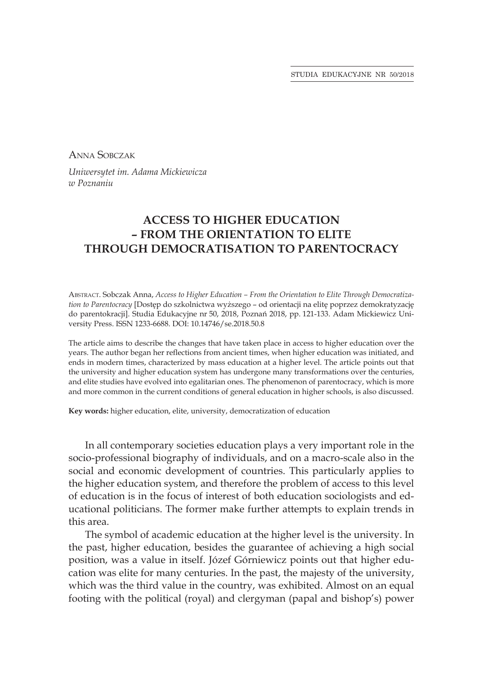STUDIA EDUKACYJNE NR 50/2018

Anna Sobczak

*Uniwersytet im. Adama Mickiewicza w Poznaniu*

## **ACCESS TO HIGHER EDUCATION – FROM THE ORIENTATION TO ELITE THROUGH DEMOCRATISATION TO PARENTOCRACY**

Abstract. Sobczak Anna, *Access to Higher Education – From the Orientation to Elite Through Democratization to Parentocracy* [Dostęp do szkolnictwa wyższego – od orientacji na elitę poprzez demokratyzację do parentokracji]. Studia Edukacyjne nr 50, 2018, Poznań 2018, pp. 121-133. Adam Mickiewicz University Press. ISSN 1233-6688. DOI: 10.14746/se.2018.50.8

The article aims to describe the changes that have taken place in access to higher education over the years. The author began her reflections from ancient times, when higher education was initiated, and ends in modern times, characterized by mass education at a higher level. The article points out that the university and higher education system has undergone many transformations over the centuries, and elite studies have evolved into egalitarian ones. The phenomenon of parentocracy, which is more and more common in the current conditions of general education in higher schools, is also discussed.

**Key words:** higher education, elite, university, democratization of education

In all contemporary societies education plays a very important role in the socio-professional biography of individuals, and on a macro-scale also in the social and economic development of countries. This particularly applies to the higher education system, and therefore the problem of access to this level of education is in the focus of interest of both education sociologists and educational politicians. The former make further attempts to explain trends in this area.

The symbol of academic education at the higher level is the university. In the past, higher education, besides the guarantee of achieving a high social position, was a value in itself. Józef Górniewicz points out that higher education was elite for many centuries. In the past, the majesty of the university, which was the third value in the country, was exhibited. Almost on an equal footing with the political (royal) and clergyman (papal and bishop's) power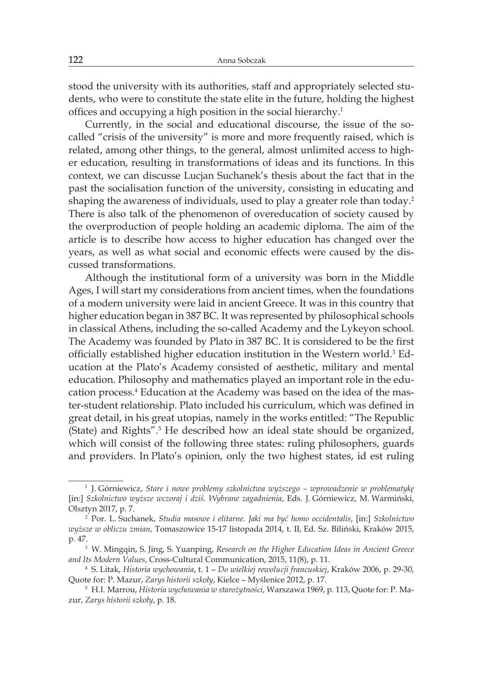stood the university with its authorities, staff and appropriately selected students, who were to constitute the state elite in the future, holding the highest offices and occupying a high position in the social hierarchy.<sup>1</sup>

Currently, in the social and educational discourse, the issue of the socalled "crisis of the university" is more and more frequently raised, which is related, among other things, to the general, almost unlimited access to higher education, resulting in transformations of ideas and its functions. In this context, we can discusse Lucjan Suchanek's thesis about the fact that in the past the socialisation function of the university, consisting in educating and shaping the awareness of individuals, used to play a greater role than today.<sup>2</sup> There is also talk of the phenomenon of overeducation of society caused by the overproduction of people holding an academic diploma. The aim of the article is to describe how access to higher education has changed over the years, as well as what social and economic effects were caused by the discussed transformations.

Although the institutional form of a university was born in the Middle Ages, I will start my considerations from ancient times, when the foundations of a modern university were laid in ancient Greece. It was in this country that higher education began in 387 BC. It was represented by philosophical schools in classical Athens, including the so-called Academy and the Lykeyon school. The Academy was founded by Plato in 387 BC. It is considered to be the first officially established higher education institution in the Western world.<sup>3</sup> Education at the Plato's Academy consisted of aesthetic, military and mental education. Philosophy and mathematics played an important role in the education process.<sup>4</sup> Education at the Academy was based on the idea of the master-student relationship. Plato included his curriculum, which was defined in great detail, in his great utopias, namely in the works entitled: "The Republic (State) and Rights".<sup>5</sup> He described how an ideal state should be organized, which will consist of the following three states: ruling philosophers, guards and providers. In Plato's opinion, only the two highest states, id est ruling

<sup>1</sup> J. Górniewicz, *Stare i nowe problemy szkolnictwa wyższego – wprowadzenie w problematykę* [in:] *Szkolnictwo wyższe wczoraj i dziś. Wybrane zagadnienia*, Eds. J. Górniewicz, M. Warmiński, Olsztyn 2017, p. 7.

<sup>2</sup> Por. L. Suchanek, *Studia masowe i elitarne. Jaki ma być homo occidentalis*, [in:] *Szkolnictwo wyższe w obliczu zmian*, Tomaszowice 15-17 listopada 2014, t. II, Ed. Sz. Biliński, Kraków 2015, p. 47.3 W. Mingqin, S. Jing, S. Yuanping, *Research on the Higher Education Ideas in Ancient Greece* 

*and Its Modern Values*, Cross-Cultural Communication, 2015, 11(8), p. 11.

<sup>4</sup> S. Litak, *Historia wychowania*, t. 1 – *Do wielkiej rewolucji francuskiej*, Kraków 2006, p. 29-30, Quote for: P. Mazur, *Zarys historii szkoły*, Kielce – Myślenice 2012, p. 17.

<sup>5</sup> H.I. Marrou, *Historia wychowania w starożytności*, Warszawa 1969, p. 113, Quote for: P. Mazur, *Zarys historii szkoły*, p. 18.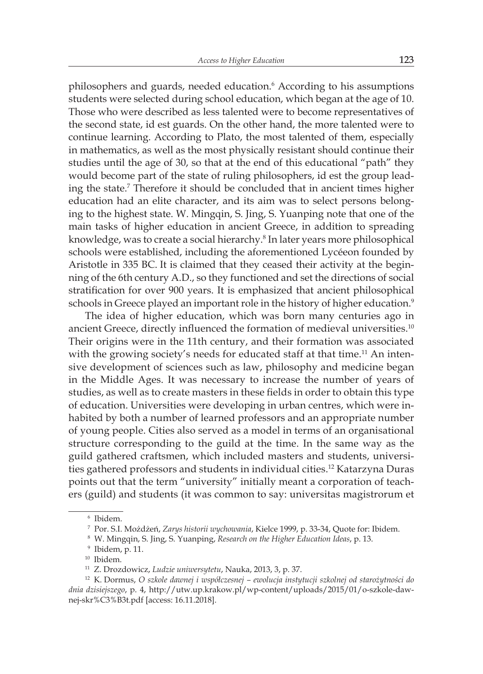philosophers and guards, needed education.<sup>6</sup> According to his assumptions students were selected during school education, which began at the age of 10. Those who were described as less talented were to become representatives of the second state, id est guards. On the other hand, the more talented were to continue learning. According to Plato, the most talented of them, especially in mathematics, as well as the most physically resistant should continue their studies until the age of 30, so that at the end of this educational "path" they would become part of the state of ruling philosophers, id est the group leading the state.<sup>7</sup> Therefore it should be concluded that in ancient times higher education had an elite character, and its aim was to select persons belonging to the highest state. W. Mingqin, S. Jing, S. Yuanping note that one of the main tasks of higher education in ancient Greece, in addition to spreading knowledge, was to create a social hierarchy.<sup>8</sup> In later years more philosophical schools were established, including the aforementioned Lycéeon founded by Aristotle in 335 BC. It is claimed that they ceased their activity at the beginning of the 6th century A.D., so they functioned and set the directions of social stratification for over 900 years. It is emphasized that ancient philosophical schools in Greece played an important role in the history of higher education.<sup>9</sup>

The idea of higher education, which was born many centuries ago in ancient Greece, directly influenced the formation of medieval universities.<sup>10</sup> Their origins were in the 11th century, and their formation was associated with the growing society's needs for educated staff at that time.<sup>11</sup> An intensive development of sciences such as law, philosophy and medicine began in the Middle Ages. It was necessary to increase the number of years of studies, as well as to create masters in these fields in order to obtain this type of education. Universities were developing in urban centres, which were inhabited by both a number of learned professors and an appropriate number of young people. Cities also served as a model in terms of an organisational structure corresponding to the guild at the time. In the same way as the guild gathered craftsmen, which included masters and students, universities gathered professors and students in individual cities.<sup>12</sup> Katarzyna Duras points out that the term "university" initially meant a corporation of teachers (guild) and students (it was common to say: universitas magistrorum et

<sup>6</sup> Ibidem.

<sup>7</sup> Por. S.I. Możdżeń, *Zarys historii wychowania*, Kielce 1999, p. 33-34, Quote for: Ibidem.

<sup>8</sup> W. Mingqin, S. Jing, S. Yuanping, *Research on the Higher Education Ideas*, p. 13.

<sup>9</sup> Ibidem, p. 11.

<sup>10</sup> Ibidem.

<sup>11</sup> Z. Drozdowicz, *Ludzie uniwersytetu*, Nauka, 2013, 3, p. 37.

<sup>12</sup> K. Dormus, *O szkole dawnej i współczesnej – ewolucja instytucji szkolnej od starożytności do dnia dzisiejszego*, p. 4, http://utw.up.krakow.pl/wp-content/uploads/2015/01/o-szkole-dawnej-skr%C3%B3t.pdf [access: 16.11.2018].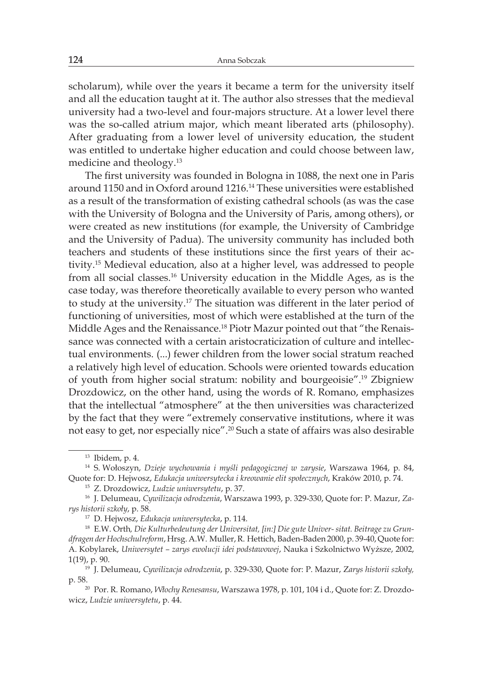scholarum), while over the years it became a term for the university itself and all the education taught at it. The author also stresses that the medieval university had a two-level and four-majors structure. At a lower level there was the so-called atrium major, which meant liberated arts (philosophy). After graduating from a lower level of university education, the student was entitled to undertake higher education and could choose between law, medicine and theology.<sup>13</sup>

The first university was founded in Bologna in 1088, the next one in Paris around 1150 and in Oxford around 1216.<sup>14</sup> These universities were established as a result of the transformation of existing cathedral schools (as was the case with the University of Bologna and the University of Paris, among others), or were created as new institutions (for example, the University of Cambridge and the University of Padua). The university community has included both teachers and students of these institutions since the first years of their activity.<sup>15</sup> Medieval education, also at a higher level, was addressed to people from all social classes.<sup>16</sup> University education in the Middle Ages, as is the case today, was therefore theoretically available to every person who wanted to study at the university.<sup>17</sup> The situation was different in the later period of functioning of universities, most of which were established at the turn of the Middle Ages and the Renaissance.18 Piotr Mazur pointed out that "the Renaissance was connected with a certain aristocraticization of culture and intellectual environments. (...) fewer children from the lower social stratum reached a relatively high level of education. Schools were oriented towards education of youth from higher social stratum: nobility and bourgeoisie".<sup>19</sup> Zbigniew Drozdowicz, on the other hand, using the words of R. Romano, emphasizes that the intellectual "atmosphere" at the then universities was characterized by the fact that they were "extremely conservative institutions, where it was not easy to get, nor especially nice".<sup>20</sup> Such a state of affairs was also desirable

<sup>13</sup> Ibidem, p. 4.

<sup>14</sup> S. Wołoszyn, *Dzieje wychowania i myśli pedagogicznej w zarysie*, Warszawa 1964, p. 84, Quote for: D. Hejwosz, *Edukacja uniwersytecka i kreowanie elit społecznych*, Kraków 2010, p. 74.

<sup>15</sup> Z. Drozdowicz, *Ludzie uniwersytetu*, p. 37.

<sup>16</sup> J. Delumeau, *Cywilizacja odrodzenia*, Warszawa 1993, p. 329-330, Quote for: P. Mazur, *Zarys historii szkoły*, p. 58.

<sup>17</sup> D. Hejwosz, *Edukacja uniwersytecka*, p. 114.

<sup>18</sup> E.W. Orth*, Die Kulturbedeutung der Universitat, [in:] Die gute Univer- sitat. Beitrage zu Grundfragen der Hochschulreform*, Hrsg. A.W. Muller, R. Hettich, Baden-Baden 2000, p. 39-40, Quote for: A. Kobylarek, *Uniwersytet – zarys ewolucji idei podstawowej*, Nauka i Szkolnictwo Wyższe, 2002, 1(19), p. 90.

<sup>19</sup> J. Delumeau, *Cywilizacja odrodzenia*, p. 329-330, Quote for: P. Mazur, Z*arys historii szkoły,*  p. 58.20 Por. R. Romano, *Włochy Renesansu*, Warszawa 1978, p. 101, 104 i d., Quote for: Z. Drozdo-

wicz, *Ludzie uniwersytetu*, p. 44.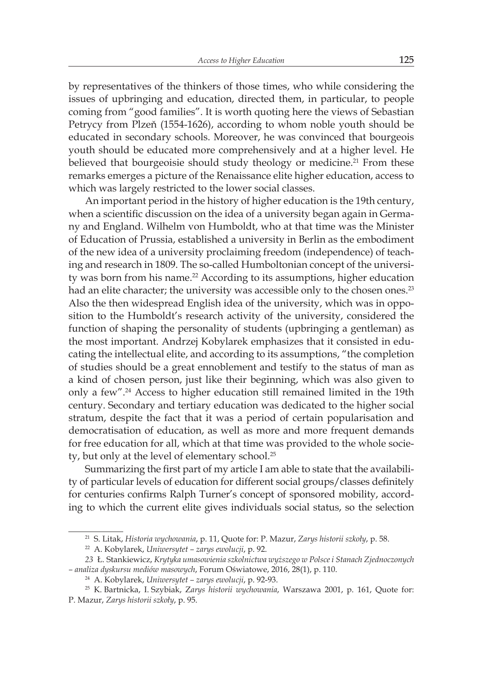by representatives of the thinkers of those times, who while considering the issues of upbringing and education, directed them, in particular, to people coming from "good families". It is worth quoting here the views of Sebastian Petrycy from Plzeň (1554-1626), according to whom noble youth should be educated in secondary schools. Moreover, he was convinced that bourgeois youth should be educated more comprehensively and at a higher level. He believed that bourgeoisie should study theology or medicine.<sup>21</sup> From these remarks emerges a picture of the Renaissance elite higher education, access to which was largely restricted to the lower social classes.

An important period in the history of higher education is the 19th century, when a scientific discussion on the idea of a university began again in Germany and England. Wilhelm von Humboldt, who at that time was the Minister of Education of Prussia, established a university in Berlin as the embodiment of the new idea of a university proclaiming freedom (independence) of teaching and research in 1809. The so-called Humboltonian concept of the university was born from his name.<sup>22</sup> According to its assumptions, higher education had an elite character; the university was accessible only to the chosen ones.<sup>23</sup> Also the then widespread English idea of the university, which was in opposition to the Humboldt's research activity of the university, considered the function of shaping the personality of students (upbringing a gentleman) as the most important. Andrzej Kobylarek emphasizes that it consisted in educating the intellectual elite, and according to its assumptions, "the completion of studies should be a great ennoblement and testify to the status of man as a kind of chosen person, just like their beginning, which was also given to only a few".<sup>24</sup> Access to higher education still remained limited in the 19th century. Secondary and tertiary education was dedicated to the higher social stratum, despite the fact that it was a period of certain popularisation and democratisation of education, as well as more and more frequent demands for free education for all, which at that time was provided to the whole society, but only at the level of elementary school.<sup>25</sup>

Summarizing the first part of my article I am able to state that the availability of particular levels of education for different social groups/classes definitely for centuries confirms Ralph Turner's concept of sponsored mobility, according to which the current elite gives individuals social status, so the selection

<sup>21</sup> S. Litak, *Historia wychowania*, p. 11, Quote for: P. Mazur, *Zarys historii szkoły*, p. 58.

<sup>22</sup> A. Kobylarek, *Uniwersytet – zarys ewolucji*, p. 92.

*<sup>23</sup>* Ł. Stankiewicz, *Krytyka umasowienia szkolnictwa wyższego w Polsce i Stanach Zjednoczonych – analiza dyskursu mediów masowych*, Forum Oświatowe, 2016, 28(1), p. 110.

<sup>24</sup> A. Kobylarek, *Uniwersytet – zarys ewolucji*, p. 92-93.

<sup>25</sup> K. Bartnicka, I. Szybiak, Z*arys historii wychowania*, Warszawa 2001, p. 161, Quote for: P. Mazur, *Zarys historii szkoły*, p. 95.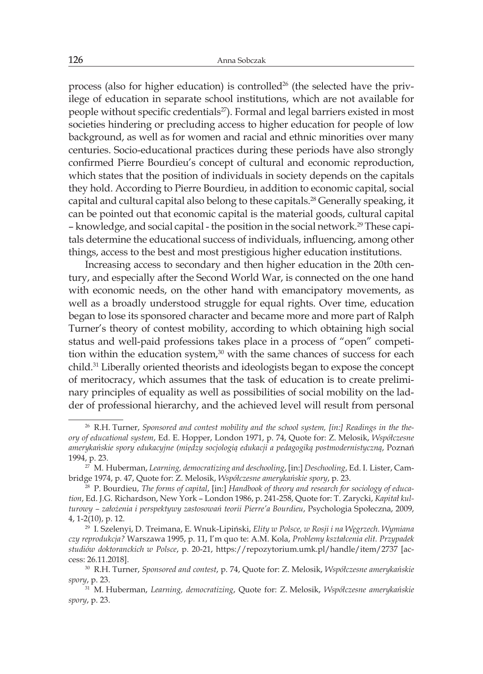process (also for higher education) is controlled<sup>26</sup> (the selected have the privilege of education in separate school institutions, which are not available for people without specific credentials<sup>27</sup>). Formal and legal barriers existed in most societies hindering or precluding access to higher education for people of low background, as well as for women and racial and ethnic minorities over many centuries. Socio-educational practices during these periods have also strongly confirmed Pierre Bourdieu's concept of cultural and economic reproduction, which states that the position of individuals in society depends on the capitals they hold. According to Pierre Bourdieu, in addition to economic capital, social capital and cultural capital also belong to these capitals.<sup>28</sup> Generally speaking, it can be pointed out that economic capital is the material goods, cultural capital – knowledge, and social capital - the position in the social network.29 These capitals determine the educational success of individuals, influencing, among other things, access to the best and most prestigious higher education institutions.

Increasing access to secondary and then higher education in the 20th century, and especially after the Second World War, is connected on the one hand with economic needs, on the other hand with emancipatory movements, as well as a broadly understood struggle for equal rights. Over time, education began to lose its sponsored character and became more and more part of Ralph Turner's theory of contest mobility, according to which obtaining high social status and well-paid professions takes place in a process of "open" competition within the education system, $30$  with the same chances of success for each child.<sup>31</sup> Liberally oriented theorists and ideologists began to expose the concept of meritocracy, which assumes that the task of education is to create preliminary principles of equality as well as possibilities of social mobility on the ladder of professional hierarchy, and the achieved level will result from personal

<sup>26</sup> R.H. Turner, *Sponsored and contest mobility and the school system, [in:] Readings in the theory of educational system*, Ed. E. Hopper, London 1971, p. 74, Quote for: Z. Melosik, *Współczesne amerykańskie spory edukacyjne (między socjologią edukacji a pedagogiką postmodernistyczną*, Poznań 1994, p. 23.

<sup>27</sup> M. Huberman, *Learning, democratizing and deschooling*, [in:] *Deschooling*, Ed. I. Lister, Cambridge 1974, p. 47, Quote for: Z. Melosik, *Współczesne amerykańskie spory*, p. 23.

<sup>28</sup> P. Bourdieu, *The forms of capital*, [in:] *Handbook of theory and research for sociology of education*, Ed. J.G. Richardson, New York – London 1986, p. 241-258, Quote for: T. Zarycki, *Kapitał kulturowy – założenia i perspektywy zastosowań teorii Pierre'a Bourdieu*, Psychologia Społeczna, 2009, 4, 1-2(10), p. 12.

<sup>29</sup> I. Szelenyi, D. Treimana, E. Wnuk-Lipiński, *Elity w Polsce, w Rosji i na Węgrzech*. *Wymiana czy reprodukcja?* Warszawa 1995, p. 11, I'm quo te: A.M. Kola, *Problemy kształcenia elit. Przypadek studiów doktoranckich w Polsce*, p. 20-21, https://repozytorium.umk.pl/handle/item/2737 [access: 26.11.2018].

<sup>30</sup> R.H. Turner, *Sponsored and contest*, p. 74, Quote for: Z. Melosik, *Współczesne amerykańskie spory*, p. 23.

<sup>31</sup> M. Huberman, *Learning, democratizing*, Quote for: Z. Melosik, *Współczesne amerykańskie spory*, p. 23.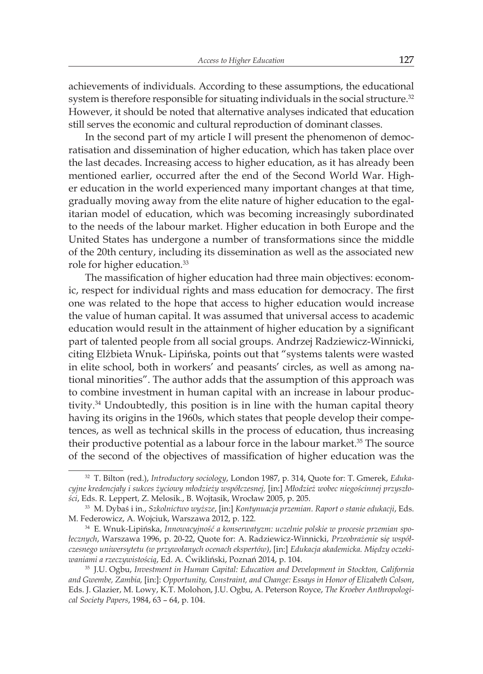achievements of individuals. According to these assumptions, the educational system is therefore responsible for situating individuals in the social structure.<sup>32</sup> However, it should be noted that alternative analyses indicated that education still serves the economic and cultural reproduction of dominant classes.

In the second part of my article I will present the phenomenon of democratisation and dissemination of higher education, which has taken place over the last decades. Increasing access to higher education, as it has already been mentioned earlier, occurred after the end of the Second World War. Higher education in the world experienced many important changes at that time, gradually moving away from the elite nature of higher education to the egalitarian model of education, which was becoming increasingly subordinated to the needs of the labour market. Higher education in both Europe and the United States has undergone a number of transformations since the middle of the 20th century, including its dissemination as well as the associated new role for higher education.<sup>33</sup>

The massification of higher education had three main objectives: economic, respect for individual rights and mass education for democracy. The first one was related to the hope that access to higher education would increase the value of human capital. It was assumed that universal access to academic education would result in the attainment of higher education by a significant part of talented people from all social groups. Andrzej Radziewicz-Winnicki, citing Elżbieta Wnuk- Lipińska, points out that "systems talents were wasted in elite school, both in workers' and peasants' circles, as well as among national minorities". The author adds that the assumption of this approach was to combine investment in human capital with an increase in labour productivity.<sup>34</sup> Undoubtedly, this position is in line with the human capital theory having its origins in the 1960s, which states that people develop their competences, as well as technical skills in the process of education, thus increasing their productive potential as a labour force in the labour market.<sup>35</sup> The source of the second of the objectives of massification of higher education was the

<sup>32</sup> T. Bilton (red.), *Introductory sociology*, London 1987, p. 314, Quote for: T. Gmerek, *Edukacyjne kredencjały i sukces życiowy młodzieży współczesnej,* [in:] *Młodzież wobec niegościnnej przyszłości*, Eds. R. Leppert, Z. Melosik., B. Wojtasik, Wrocław 2005, p. 205.

<sup>33</sup> M. Dybaś i in., *Szkolnictwo wyższe*, [in:] *Kontynuacja przemian. Raport o stanie edukacji*, Eds. M. Federowicz, A. Wojciuk, Warszawa 2012, p. 122.

<sup>34</sup> E. Wnuk-Lipińska, *Innowacyjność a konserwatyzm: uczelnie polskie w procesie przemian społecznych*, Warszawa 1996, p. 20-22, Quote for: A. Radziewicz-Winnicki, *Przeobrażenie* s*ię współczesnego uniwersytetu (w przywołanych ocenach ekspertów)*, [in:] *Edukacja akademicka. Między oczekiwaniami a rzeczywistością*, Ed. A. Ćwikliński, Poznań 2014, p. 104.

<sup>35</sup> J.U. Ogbu, *Investment in Human Capital: Education and Development in Stockton, California and Gwembe, Zambia,* [in:]: *Opportunity, Constraint, and Change: Essays in Honor of Elizabeth Colson*, Eds. J. Glazier, M. Lowy, K.T. Molohon, J.U. Ogbu, A. Peterson Royce, *The Kroeber Anthropological Society Papers*, 1984, 63 – 64, p. 104.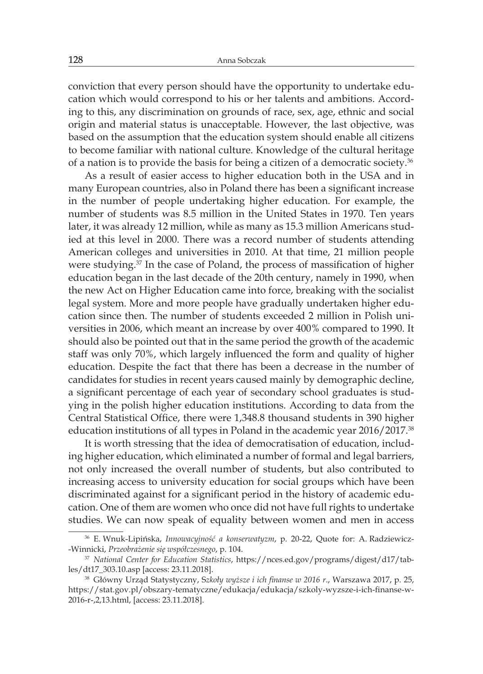conviction that every person should have the opportunity to undertake education which would correspond to his or her talents and ambitions. According to this, any discrimination on grounds of race, sex, age, ethnic and social origin and material status is unacceptable. However, the last objective, was based on the assumption that the education system should enable all citizens to become familiar with national culture. Knowledge of the cultural heritage of a nation is to provide the basis for being a citizen of a democratic society.<sup>36</sup>

As a result of easier access to higher education both in the USA and in many European countries, also in Poland there has been a significant increase in the number of people undertaking higher education. For example, the number of students was 8.5 million in the United States in 1970. Ten years later, it was already 12 million, while as many as 15.3 million Americans studied at this level in 2000. There was a record number of students attending American colleges and universities in 2010. At that time, 21 million people were studying.<sup>37</sup> In the case of Poland, the process of massification of higher education began in the last decade of the 20th century, namely in 1990, when the new Act on Higher Education came into force, breaking with the socialist legal system. More and more people have gradually undertaken higher education since then. The number of students exceeded 2 million in Polish universities in 2006, which meant an increase by over 400% compared to 1990. It should also be pointed out that in the same period the growth of the academic staff was only 70%, which largely influenced the form and quality of higher education. Despite the fact that there has been a decrease in the number of candidates for studies in recent years caused mainly by demographic decline, a significant percentage of each year of secondary school graduates is studying in the polish higher education institutions. According to data from the Central Statistical Office, there were 1,348.8 thousand students in 390 higher education institutions of all types in Poland in the academic year 2016/2017.<sup>38</sup>

It is worth stressing that the idea of democratisation of education, including higher education, which eliminated a number of formal and legal barriers, not only increased the overall number of students, but also contributed to increasing access to university education for social groups which have been discriminated against for a significant period in the history of academic education. One of them are women who once did not have full rights to undertake studies. We can now speak of equality between women and men in access

<sup>36</sup> E. Wnuk-Lipińska, *Innowacyjność a konserwatyzm*, p. 20-22, Quote for: A. Radziewicz- -Winnicki, *Przeobrażenie się współczesnego*, p. 104.

<sup>37</sup> *National Center for Education Statistics*, https://nces.ed.gov/programs/digest/d17/tables/dt17\_303.10.asp [access: 23.11.2018].

<sup>38</sup> Główny Urząd Statystyczny, S*zkoły wyższe i ich finanse w 2016 r*., Warszawa 2017, p. 25, https://stat.gov.pl/obszary-tematyczne/edukacja/edukacja/szkoly-wyzsze-i-ich-finanse-w-2016-r-,2,13.html, [access: 23.11.2018].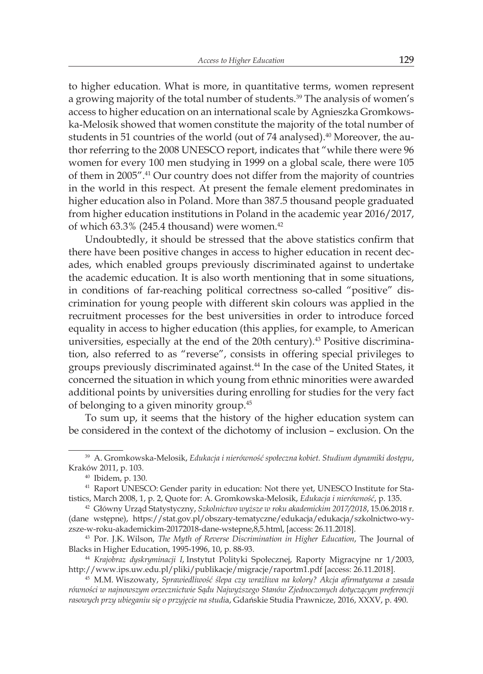to higher education. What is more, in quantitative terms, women represent a growing majority of the total number of students.<sup>39</sup> The analysis of women's access to higher education on an international scale by Agnieszka Gromkowska-Melosik showed that women constitute the majority of the total number of students in 51 countries of the world (out of 74 analysed).<sup>40</sup> Moreover, the author referring to the 2008 UNESCO report, indicates that "while there were 96 women for every 100 men studying in 1999 on a global scale, there were 105 of them in 2005".<sup>41</sup> Our country does not differ from the majority of countries in the world in this respect. At present the female element predominates in higher education also in Poland. More than 387.5 thousand people graduated from higher education institutions in Poland in the academic year 2016/2017, of which 63.3% (245.4 thousand) were women.<sup>42</sup>

Undoubtedly, it should be stressed that the above statistics confirm that there have been positive changes in access to higher education in recent decades, which enabled groups previously discriminated against to undertake the academic education. It is also worth mentioning that in some situations, in conditions of far-reaching political correctness so-called "positive" discrimination for young people with different skin colours was applied in the recruitment processes for the best universities in order to introduce forced equality in access to higher education (this applies, for example, to American universities, especially at the end of the 20th century).43 Positive discrimination, also referred to as "reverse", consists in offering special privileges to groups previously discriminated against.<sup>44</sup> In the case of the United States, it concerned the situation in which young from ethnic minorities were awarded additional points by universities during enrolling for studies for the very fact of belonging to a given minority group.<sup>45</sup>

To sum up, it seems that the history of the higher education system can be considered in the context of the dichotomy of inclusion – exclusion. On the

<sup>39</sup> A. Gromkowska-Melosik, *Edukacja i nierówność społeczna kobiet. Studium dynamiki dostępu*, Kraków 2011, p. 103.

<sup>40</sup> Ibidem, p. 130.

<sup>41</sup> Raport UNESCO: Gender parity in education: Not there yet, UNESCO Institute for Statistics, March 2008, 1, p. 2, Quote for: A. Gromkowska-Melosik, *Edukacja i nierówność*, p. 135.

<sup>42</sup> Główny Urząd Statystyczny, *Szkolnictwo wyższe w roku akademickim 2017/2018*, 15.06.2018 r. (dane wstępne), https://stat.gov.pl/obszary-tematyczne/edukacja/edukacja/szkolnictwo-wyzsze-w-roku-akademickim-20172018-dane-wstepne,8,5.html, [access: 26.11.2018].

<sup>43</sup> Por. J.K. Wilson, *The Myth of Reverse Discrimination in Higher Education*, The Journal of Blacks in Higher Education, 1995-1996, 10, p. 88-93.

<sup>44</sup> *Krajobraz dyskryminacji I*, Instytut Polityki Społecznej, Raporty Migracyjne nr 1/2003, http://www.ips.uw.edu.pl/pliki/publikacje/migracje/raportm1.pdf [access: 26.11.2018].

<sup>45</sup> M.M. Wiszowaty, *Sprawiedliwość ślepa czy wrażliwa na kolory? Akcja afirmatywna a zasada równości w najnowszym orzecznictwie Sądu Najwyższego Stanów Zjednoczonych dotyczącym preferencji rasowych przy ubieganiu się o przyjęcie na studi*a, Gdańskie Studia Prawnicze, 2016, XXXV, p. 490.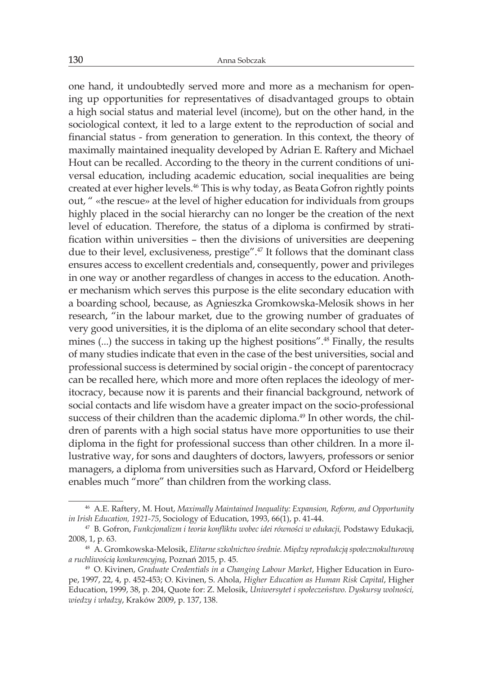one hand, it undoubtedly served more and more as a mechanism for opening up opportunities for representatives of disadvantaged groups to obtain a high social status and material level (income), but on the other hand, in the sociological context, it led to a large extent to the reproduction of social and financial status - from generation to generation. In this context, the theory of maximally maintained inequality developed by Adrian E. Raftery and Michael Hout can be recalled. According to the theory in the current conditions of universal education, including academic education, social inequalities are being created at ever higher levels.<sup>46</sup> This is why today, as Beata Gofron rightly points out, " «the rescue» at the level of higher education for individuals from groups highly placed in the social hierarchy can no longer be the creation of the next level of education. Therefore, the status of a diploma is confirmed by stratification within universities – then the divisions of universities are deepening due to their level, exclusiveness, prestige".<sup>47</sup> It follows that the dominant class ensures access to excellent credentials and, consequently, power and privileges in one way or another regardless of changes in access to the education. Another mechanism which serves this purpose is the elite secondary education with a boarding school, because, as Agnieszka Gromkowska-Melosik shows in her research, "in the labour market, due to the growing number of graduates of very good universities, it is the diploma of an elite secondary school that determines (...) the success in taking up the highest positions".<sup>48</sup> Finally, the results of many studies indicate that even in the case of the best universities, social and professional success is determined by social origin - the concept of parentocracy can be recalled here, which more and more often replaces the ideology of meritocracy, because now it is parents and their financial background, network of social contacts and life wisdom have a greater impact on the socio-professional success of their children than the academic diploma.<sup>49</sup> In other words, the children of parents with a high social status have more opportunities to use their diploma in the fight for professional success than other children. In a more illustrative way, for sons and daughters of doctors, lawyers, professors or senior managers, a diploma from universities such as Harvard, Oxford or Heidelberg enables much "more" than children from the working class.

<sup>46</sup> A.E. Raftery, M. Hout, *Maximally Maintained Inequality: Expansion, Reform, and Opportunity in Irish Education, 1921-75*, Sociology of Education, 1993, 66(1), p. 41-44.

<sup>47</sup> B. Gofron, *Funkcjonalizm i teoria konfliktu wobec idei równości w edukacji,* Podstawy Edukacji, 2008, 1, p. 63.

<sup>48</sup> A. Gromkowska-Melosik, *Elitarne szkolnictwo średnie. Między reprodukcją społecznokulturową a ruchliwością konkurencyjną*, Poznań 2015, p. 45.

<sup>49</sup> O. Kivinen, *Graduate Credentials in a Changing Labour Market*, Higher Education in Europe, 1997, 22, 4, p. 452-453; O. Kivinen, S. Ahola, *Higher Education as Human Risk Capital*, Higher Education, 1999, 38, p. 204, Quote for: Z. Melosik, *Uniwersytet i społeczeństwo. Dyskursy wolności, wiedzy i władzy*, Kraków 2009, p. 137, 138.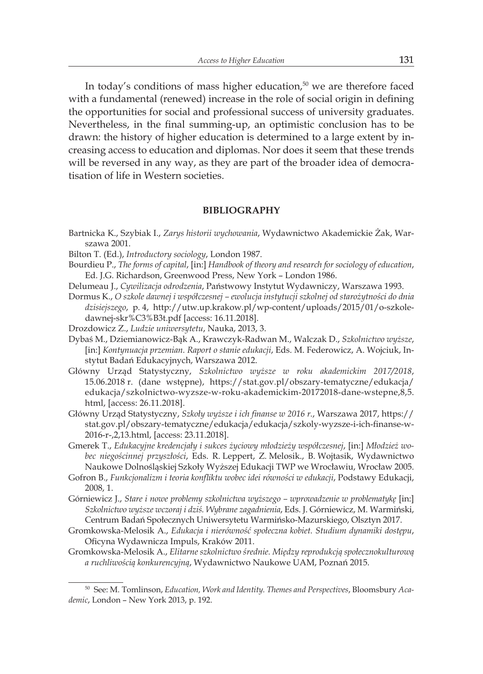In today's conditions of mass higher education, $50$  we are therefore faced with a fundamental (renewed) increase in the role of social origin in defining the opportunities for social and professional success of university graduates. Nevertheless, in the final summing-up, an optimistic conclusion has to be drawn: the history of higher education is determined to a large extent by increasing access to education and diplomas. Nor does it seem that these trends will be reversed in any way, as they are part of the broader idea of democratisation of life in Western societies.

## **BIBLIOGRAPHY**

- Bartnicka K., Szybiak I., *Zarys historii wychowania*, Wydawnictwo Akademickie Żak, Warszawa 2001.
- Bilton T. (Ed.), *Introductory sociology*, London 1987.
- Bourdieu P., *The forms of capital*, [in:] *Handbook of theory and research for sociology of education*, Ed. J.G. Richardson, Greenwood Press, New York – London 1986.
- Delumeau J., *Cywilizacja odrodzenia*, Państwowy Instytut Wydawniczy, Warszawa 1993.
- Dormus K., *O szkole dawnej i współczesnej ewolucja instytucji szkolnej od starożytności do dnia dzisiejszego*, p. 4, http://utw.up.krakow.pl/wp-content/uploads/2015/01/o-szkoledawnej-skr%C3%B3t.pdf [access: 16.11.2018].
- Drozdowicz Z., *Ludzie uniwersytetu*, Nauka, 2013, 3.
- Dybaś M., Dziemianowicz-Bąk A., Krawczyk-Radwan M., Walczak D., *Szkolnictwo wyższe*, [in:] *Kontynuacja przemian. Raport o stanie edukacji*, Eds. M. Federowicz, A. Wojciuk, Instytut Badań Edukacyjnych, Warszawa 2012.
- Główny Urząd Statystyczny, *Szkolnictwo wyższe w roku akademickim 2017/2018*, 15.06.2018 r. (dane wstępne), https://stat.gov.pl/obszary-tematyczne/edukacja/ edukacja/szkolnictwo-wyzsze-w-roku-akademickim-20172018-dane-wstepne,8,5. html, [access: 26.11.2018].
- Główny Urząd Statystyczny, *Szkoły wyższe i ich finanse w 2016 r.*, Warszawa 2017, https:// stat.gov.pl/obszary-tematyczne/edukacja/edukacja/szkoly-wyzsze-i-ich-finanse-w-2016-r-,2,13.html, [access: 23.11.2018].
- Gmerek T., *Edukacyjne kredencjały i sukces życiowy młodzieży współczesnej*, [in:] *Młodzież wobec niegościnnej przyszłości*, Eds. R. Leppert, Z. Melosik., B. Wojtasik, Wydawnictwo Naukowe Dolnośląskiej Szkoły Wyższej Edukacji TWP we Wrocławiu, Wrocław 2005.
- Gofron B., *Funkcjonalizm i teoria konfliktu wobec idei równości w edukacji*, Podstawy Edukacji, 2008, 1.
- Górniewicz J., *Stare i nowe problemy szkolnictwa wyższego wprowadzenie w problematykę* [in:] *Szkolnictwo wyższe wczoraj i dziś. Wybrane zagadnienia*, Eds. J. Górniewicz, M. Warmiński, Centrum Badań Społecznych Uniwersytetu Warmińsko-Mazurskiego, Olsztyn 2017.
- Gromkowska-Melosik A., *Edukacja i nierówność społeczna kobiet. Studium dynamiki dostępu*, Oficyna Wydawnicza Impuls, Kraków 2011.
- Gromkowska-Melosik A., *Elitarne szkolnictwo średnie. Między reprodukcją społecznokulturową a ruchliwością konkurencyjną*, Wydawnictwo Naukowe UAM, Poznań 2015.

<sup>50</sup> See: M. Tomlinson, *Education, Work and Identity. Themes and Perspectives*, Bloomsbury *Academic*, London – New York 2013, p. 192.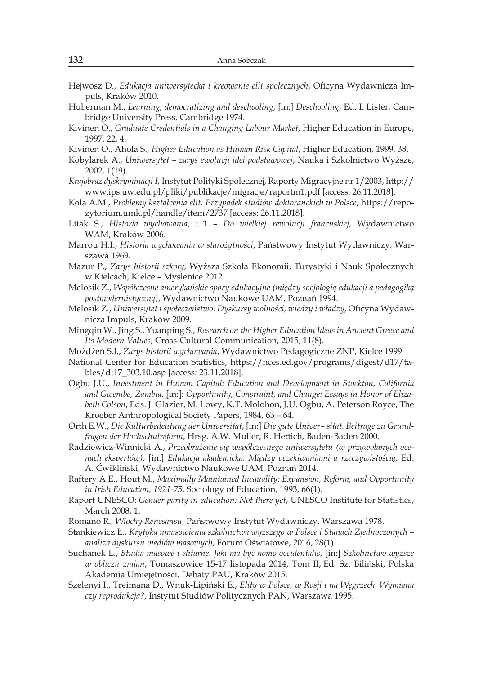- Hejwosz D., *Edukacja uniwersytecka i kreowanie elit społecznych*, Oficyna Wydawnicza Impuls, Kraków 2010.
- Huberman M., *Learning, democratizing and deschooling*, [in:] *Deschooling*, Ed. I. Lister, Cambridge University Press, Cambridge 1974.
- Kivinen O., *Graduate Credentials in a Changing Labour Market*, Higher Education in Europe, 1997, 22, 4.
- Kivinen O., Ahola S., *Higher Education as Human Risk Capital*, Higher Education, 1999, 38.
- Kobylarek A., *Uniwersytet zarys ewolucji idei podstawowej*, Nauka i Szkolnictwo Wyższe, 2002, 1(19).
- *Krajobraz dyskryminacji I*, Instytut Polityki Społecznej, Raporty Migracyjne nr 1/2003, http:// www.ips.uw.edu.pl/pliki/publikacje/migracje/raportm1.pdf [access: 26.11.2018].
- Kola A.M., *Problemy kształcenia elit. Przypadek studiów doktoranckich w Polsce*, https://repozytorium.umk.pl/handle/item/2737 [access: 26.11.2018].
- Litak S., *Historia wychowania*, t. 1 *Do wielkiej rewolucji francuskiej*, Wydawnictwo WAM, Kraków 2006.
- Marrou H.I., *Historia wychowania w starożytności*, Państwowy Instytut Wydawniczy, Warszawa 1969.
- Mazur P., *Zarys historii szkoły*, Wyższa Szkoła Ekonomii, Turystyki i Nauk Społecznych w Kielcach, Kielce – Myślenice 2012.
- Melosik Z., *Współczesne amerykańskie spory edukacyjne (między socjologią edukacji a pedagogiką postmodernistyczną)*, Wydawnictwo Naukowe UAM, Poznań 1994.
- Melosik Z., *Uniwersytet i społeczeństwo. Dyskursy wolności, wiedzy i władzy*, Oficyna Wydawnicza Impuls, Kraków 2009.
- Mingqin W., Jing S., Yuanping S., *Research on the Higher Education Ideas in Ancient Greece and Its Modern Values*, Cross-Cultural Communication, 2015, 11(8).
- Możdżeń S.I., *Zarys historii wychowania*, Wydawnictwo Pedagogiczne ZNP, Kielce 1999.
- National Center for Education Statistics, https://nces.ed.gov/programs/digest/d17/tables/dt17\_303.10.asp [access: 23.11.2018].
- Ogbu J.U., *Investment in Human Capital: Education and Development in Stockton, California and Gwembe, Zambia*, [in:]: *Opportunity, Constraint, and Change: Essays in Honor of Elizabeth Colson*, Eds. J. Glazier, M. Lowy, K.T. Molohon, J.U. Ogbu, A. Peterson Royce, The Kroeber Anthropological Society Papers, 1984, 63 – 64.
- Orth E.W., *Die Kulturbedeutung der Universitat*, [in:] *Die gute Univer– sitat. Beitrage zu Grundfragen der Hochschulreform*, Hrsg. A.W. Muller, R. Hettich, Baden-Baden 2000.
- Radziewicz-Winnicki A., *Przeobrażenie się współczesnego uniwersytetu (w przywołanych ocenach ekspertów)*, [in:] *Edukacja akademicka. Między oczekiwaniami a rzeczywistością*, Ed. A. Ćwikliński, Wydawnictwo Naukowe UAM, Poznań 2014.
- Raftery A.E., Hout M., *Maximally Maintained Inequality: Expansion, Reform, and Opportunity in Irish Education, 1921-75*, Sociology of Education, 1993, 66(1).
- Raport UNESCO: *Gender parity in education: Not there yet*, UNESCO Institute for Statistics, March 2008, 1.
- Romano R., *Włochy Renesansu*, Państwowy Instytut Wydawniczy, Warszawa 1978.
- Stankiewicz Ł., *Krytyka umasowienia szkolnictwa wyższego w Polsce i Stanach Zjednoczonych analiza dyskursu mediów masowych*, Forum Oświatowe, 2016, 28(1).
- Suchanek L., *Studia masowe i elitarne. Jaki ma być homo occidentalis*, [in:] *Szkolnictwo wyższe w obliczu zmian*, Tomaszowice 15-17 listopada 2014, Tom II, Ed. Sz. Biliński, Polska Akademia Umiejętności. Debaty PAU, Kraków 2015.
- Szelenyi I., Treimana D., Wnuk-Lipiński E., *Elity w Polsce, w Rosji i na Węgrzech. Wymiana czy reprodukcja?*, Instytut Studiów Politycznych PAN, Warszawa 1995.